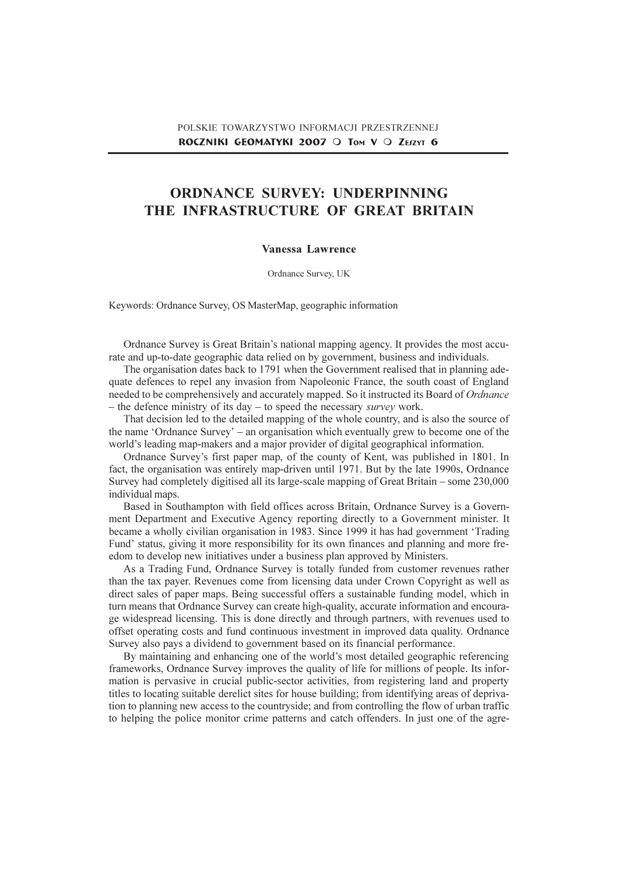# ORDNANCE SURVEY: UNDERPINNING THE INFRASTRUCTURE OF GREAT BRITAIN

#### Vanessa Lawrence

Ordnance Survey, UK

Keywords: Ordnance Survey, OS MasterMap, geographic information

Ordnance Survey is Great Britain's national mapping agency. It provides the most accurate and up-to-date geographic data relied on by government, business and individuals.

The organisation dates back to 1791 when the Government realised that in planning adequate defences to repel any invasion from Napoleonic France, the south coast of England needed to be comprehensively and accurately mapped. So it instructed its Board of Ordnance - the defence ministry of its day  $-$  to speed the necessary *survey* work.

That decision led to the detailed mapping of the whole country, and is also the source of the name 'Ordnance Survey' – an organisation which eventually grew to become one of the world's leading map-makers and a major provider of digital geographical information.

Ordnance Survey's first paper map, of the county of Kent, was published in 1801. In fact, the organisation was entirely map-driven until 1971. But by the late 1990s, Ordnance Survey had completely digitised all its large-scale mapping of Great Britain – some 230,000 individual maps.

Based in Southampton with field offices across Britain, Ordnance Survey is a Government Department and Executive Agency reporting directly to a Government minister. It became a wholly civilian organisation in 1983. Since 1999 it has had government 'Trading Fund' status, giving it more responsibility for its own finances and planning and more freedom to develop new initiatives under a business plan approved by Ministers.

As a Trading Fund, Ordnance Survey is totally funded from customer revenues rather than the tax payer. Revenues come from licensing data under Crown Copyright as well as direct sales of paper maps. Being successful offers a sustainable funding model, which in turn means that Ordnance Survey can create high-quality, accurate information and encourage widespread licensing. This is done directly and through partners, with revenues used to offset operating costs and fund continuous investment in improved data quality. Ordnance Survey also pays a dividend to government based on its financial performance.

By maintaining and enhancing one of the world's most detailed geographic referencing frameworks, Ordnance Survey improves the quality of life for millions of people. Its information is pervasive in crucial public-sector activities, from registering land and property titles to locating suitable derelict sites for house building; from identifying areas of deprivation to planning new access to the countryside; and from controlling the flow of urban traffic to helping the police monitor crime patterns and catch offenders. In just one of the agre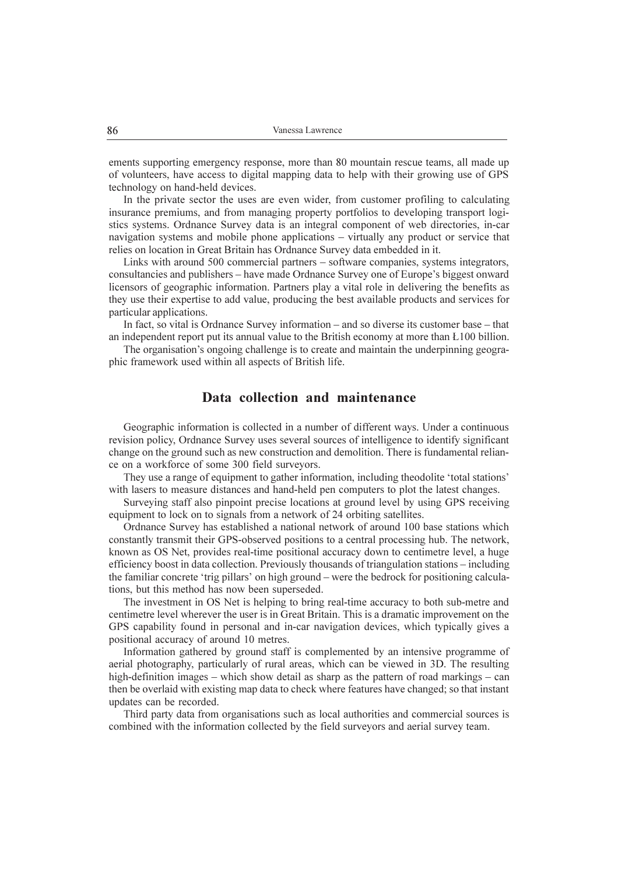ements supporting emergency response, more than 80 mountain rescue teams, all made up of volunteers, have access to digital mapping data to help with their growing use of GPS technology on hand-held devices.

In the private sector the uses are even wider, from customer profiling to calculating insurance premiums, and from managing property portfolios to developing transport logistics systems. Ordnance Survey data is an integral component of web directories, in-car navigation systems and mobile phone applications - virtually any product or service that relies on location in Great Britain has Ordnance Survey data embedded in it.

Links with around 500 commercial partners – software companies, systems integrators, consultancies and publishers – have made Ordnance Survey one of Europe's biggest onward licensors of geographic information. Partners play a vital role in delivering the benefits as they use their expertise to add value, producing the best available products and services for particular applications.

In fact, so vital is Ordnance Survey information  $-$  and so diverse its customer base  $-$  that an independent report put its annual value to the British economy at more than £100 billion.

The organisation's ongoing challenge is to create and maintain the underpinning geographic framework used within all aspects of British life.

#### Data collection and maintenance

Geographic information is collected in a number of different ways. Under a continuous revision policy, Ordnance Survey uses several sources of intelligence to identify significant change on the ground such as new construction and demolition. There is fundamental reliance on a workforce of some 300 field surveyors.

They use a range of equipment to gather information, including theodolite 'total stations' with lasers to measure distances and hand-held pen computers to plot the latest changes.

Surveying staff also pinpoint precise locations at ground level by using GPS receiving equipment to lock on to signals from a network of 24 orbiting satellites.

Ordnance Survey has established a national network of around 100 base stations which constantly transmit their GPS-observed positions to a central processing hub. The network, known as OS Net, provides real-time positional accuracy down to centimetre level, a huge efficiency boost in data collection. Previously thousands of triangulation stations – including the familiar concrete 'trig pillars' on high ground  $-$  were the bedrock for positioning calculations, but this method has now been superseded.

The investment in OS Net is helping to bring real-time accuracy to both sub-metre and centimetre level wherever the user is in Great Britain. This is a dramatic improvement on the GPS capability found in personal and in-car navigation devices, which typically gives a positional accuracy of around 10 metres.

Information gathered by ground staff is complemented by an intensive programme of aerial photography, particularly of rural areas, which can be viewed in 3D. The resulting high-definition images  $-$  which show detail as sharp as the pattern of road markings  $-$  can then be overlaid with existing map data to check where features have changed; so that instant updates can be recorded.

Third party data from organisations such as local authorities and commercial sources is combined with the information collected by the field surveyors and aerial survey team.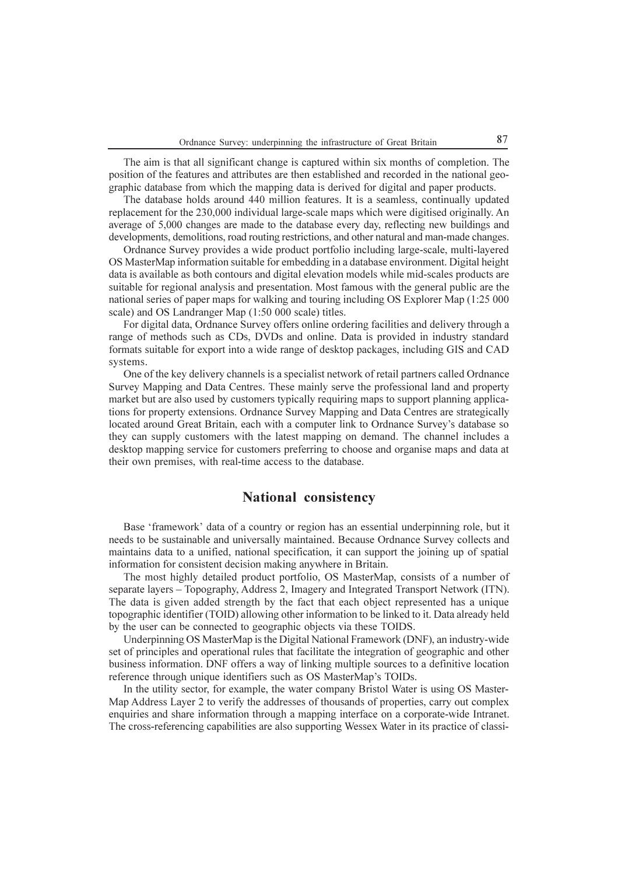The aim is that all significant change is captured within six months of completion. The position of the features and attributes are then established and recorded in the national geographic database from which the mapping data is derived for digital and paper products.

The database holds around 440 million features. It is a seamless, continually updated replacement for the 230,000 individual large-scale maps which were digitised originally. An average of 5,000 changes are made to the database every day, reflecting new buildings and developments, demolitions, road routing restrictions, and other natural and man-made changes.

Ordnance Survey provides a wide product portfolio including large-scale, multi-layered OS MasterMap information suitable for embedding in a database environment. Digital height data is available as both contours and digital elevation models while mid-scales products are suitable for regional analysis and presentation. Most famous with the general public are the national series of paper maps for walking and touring including OS Explorer Map (1:25 000 scale) and OS Landranger Map (1:50 000 scale) titles.

For digital data, Ordnance Survey offers online ordering facilities and delivery through a range of methods such as CDs, DVDs and online. Data is provided in industry standard formats suitable for export into a wide range of desktop packages, including GIS and CAD systems.

One of the key delivery channels is a specialist network of retail partners called Ordnance Survey Mapping and Data Centres. These mainly serve the professional land and property market but are also used by customers typically requiring maps to support planning applications for property extensions. Ordnance Survey Mapping and Data Centres are strategically located around Great Britain, each with a computer link to Ordnance Survey's database so they can supply customers with the latest mapping on demand. The channel includes a desktop mapping service for customers preferring to choose and organise maps and data at their own premises, with real-time access to the database.

#### National consistency

Base 'framework' data of a country or region has an essential underpinning role, but it needs to be sustainable and universally maintained. Because Ordnance Survey collects and maintains data to a unified, national specification, it can support the joining up of spatial information for consistent decision making anywhere in Britain.

The most highly detailed product portfolio, OS MasterMap, consists of a number of separate layers - Topography, Address 2, Imagery and Integrated Transport Network (ITN). The data is given added strength by the fact that each object represented has a unique topographic identifier (TOID) allowing other information to be linked to it. Data already held by the user can be connected to geographic objects via these TOIDS.

Underpinning OS MasterMap is the Digital National Framework (DNF), an industry-wide set of principles and operational rules that facilitate the integration of geographic and other business information. DNF offers a way of linking multiple sources to a definitive location reference through unique identifiers such as OS MasterMap's TOIDs.

In the utility sector, for example, the water company Bristol Water is using OS Master-Map Address Layer 2 to verify the addresses of thousands of properties, carry out complex enquiries and share information through a mapping interface on a corporate-wide Intranet. The cross-referencing capabilities are also supporting Wessex Water in its practice of classi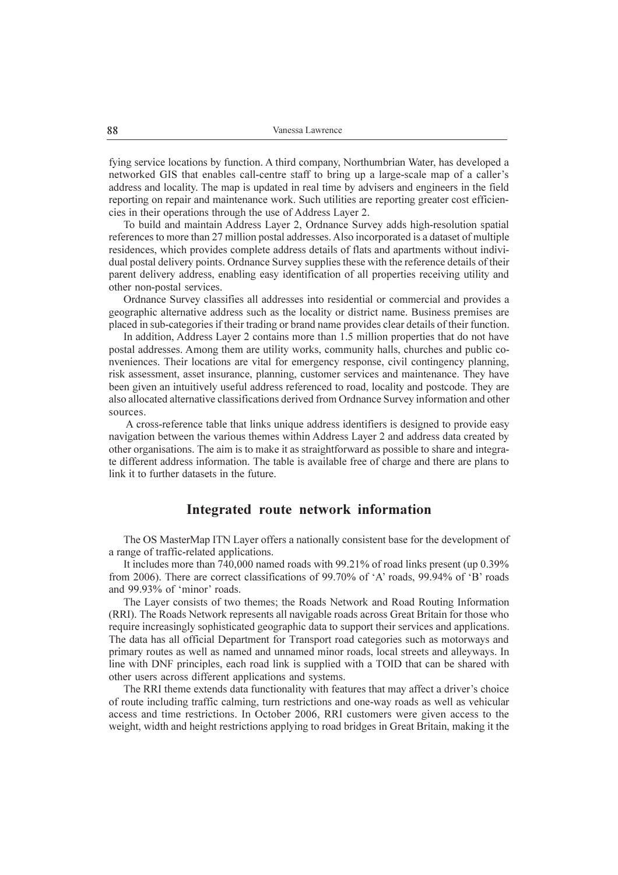fying service locations by function. A third company, Northumbrian Water, has developed a networked GIS that enables call-centre staff to bring up a large-scale map of a caller's address and locality. The map is updated in real time by advisers and engineers in the field reporting on repair and maintenance work. Such utilities are reporting greater cost efficiencies in their operations through the use of Address Layer 2.

To build and maintain Address Layer 2, Ordnance Survey adds high-resolution spatial references to more than 27 million postal addresses. Also incorporated is a dataset of multiple residences, which provides complete address details of flats and apartments without individual postal delivery points. Ordnance Survey supplies these with the reference details of their parent delivery address, enabling easy identification of all properties receiving utility and other non-postal services.

Ordnance Survey classifies all addresses into residential or commercial and provides a geographic alternative address such as the locality or district name. Business premises are placed in sub-categories if their trading or brand name provides clear details of their function.

In addition, Address Layer 2 contains more than 1.5 million properties that do not have postal addresses. Among them are utility works, community halls, churches and public conveniences. Their locations are vital for emergency response, civil contingency planning, risk assessment, asset insurance, planning, customer services and maintenance. They have been given an intuitively useful address referenced to road, locality and postcode. They are also allocated alternative classifications derived from Ordnance Survey information and other sources.

 A cross-reference table that links unique address identifiers is designed to provide easy navigation between the various themes within Address Layer 2 and address data created by other organisations. The aim is to make it as straightforward as possible to share and integrate different address information. The table is available free of charge and there are plans to link it to further datasets in the future.

#### Integrated route network information

The OS MasterMap ITN Layer offers a nationally consistent base for the development of a range of traffic-related applications.

It includes more than 740,000 named roads with 99.21% of road links present (up 0.39% from 2006). There are correct classifications of 99.70% of 'A' roads, 99.94% of 'B' roads and 99.93% of 'minor' roads.

The Layer consists of two themes; the Roads Network and Road Routing Information (RRI). The Roads Network represents all navigable roads across Great Britain for those who require increasingly sophisticated geographic data to support their services and applications. The data has all official Department for Transport road categories such as motorways and primary routes as well as named and unnamed minor roads, local streets and alleyways. In line with DNF principles, each road link is supplied with a TOID that can be shared with other users across different applications and systems.

The RRI theme extends data functionality with features that may affect a driver's choice of route including traffic calming, turn restrictions and one-way roads as well as vehicular access and time restrictions. In October 2006, RRI customers were given access to the weight, width and height restrictions applying to road bridges in Great Britain, making it the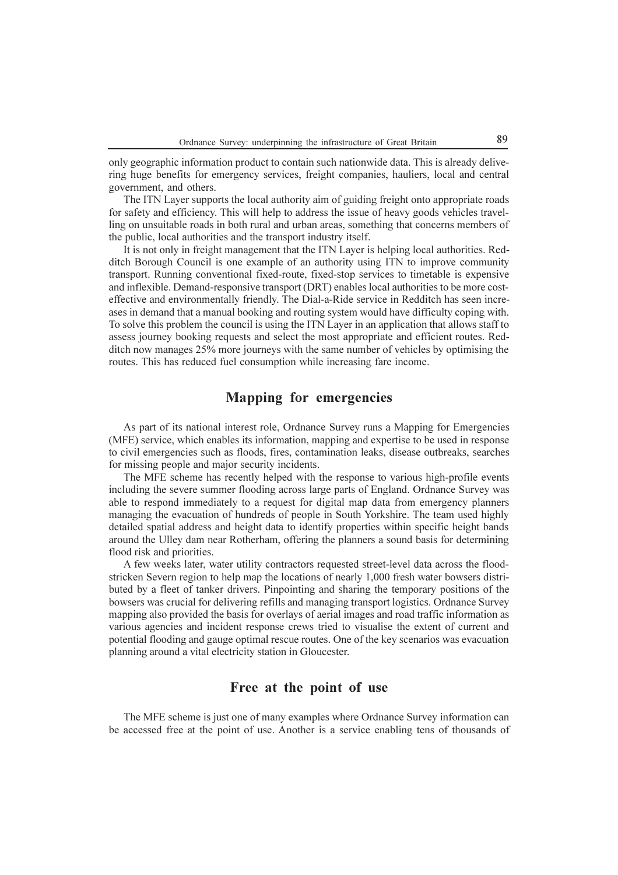only geographic information product to contain such nationwide data. This is already delivering huge benefits for emergency services, freight companies, hauliers, local and central government, and others.

The ITN Layer supports the local authority aim of guiding freight onto appropriate roads for safety and efficiency. This will help to address the issue of heavy goods vehicles travelling on unsuitable roads in both rural and urban areas, something that concerns members of the public, local authorities and the transport industry itself.

It is not only in freight management that the ITN Layer is helping local authorities. Redditch Borough Council is one example of an authority using ITN to improve community transport. Running conventional fixed-route, fixed-stop services to timetable is expensive and inflexible. Demand-responsive transport (DRT) enables local authorities to be more costeffective and environmentally friendly. The Dial-a-Ride service in Redditch has seen increases in demand that a manual booking and routing system would have difficulty coping with. To solve this problem the council is using the ITN Layer in an application that allows staff to assess journey booking requests and select the most appropriate and efficient routes. Redditch now manages 25% more journeys with the same number of vehicles by optimising the routes. This has reduced fuel consumption while increasing fare income.

## Mapping for emergencies

As part of its national interest role, Ordnance Survey runs a Mapping for Emergencies (MFE) service, which enables its information, mapping and expertise to be used in response to civil emergencies such as floods, fires, contamination leaks, disease outbreaks, searches for missing people and major security incidents.

The MFE scheme has recently helped with the response to various high-profile events including the severe summer flooding across large parts of England. Ordnance Survey was able to respond immediately to a request for digital map data from emergency planners managing the evacuation of hundreds of people in South Yorkshire. The team used highly detailed spatial address and height data to identify properties within specific height bands around the Ulley dam near Rotherham, offering the planners a sound basis for determining flood risk and priorities.

A few weeks later, water utility contractors requested street-level data across the floodstricken Severn region to help map the locations of nearly 1,000 fresh water bowsers distributed by a fleet of tanker drivers. Pinpointing and sharing the temporary positions of the bowsers was crucial for delivering refills and managing transport logistics. Ordnance Survey mapping also provided the basis for overlays of aerial images and road traffic information as various agencies and incident response crews tried to visualise the extent of current and potential flooding and gauge optimal rescue routes. One of the key scenarios was evacuation planning around a vital electricity station in Gloucester.

#### Free at the point of use

The MFE scheme is just one of many examples where Ordnance Survey information can be accessed free at the point of use. Another is a service enabling tens of thousands of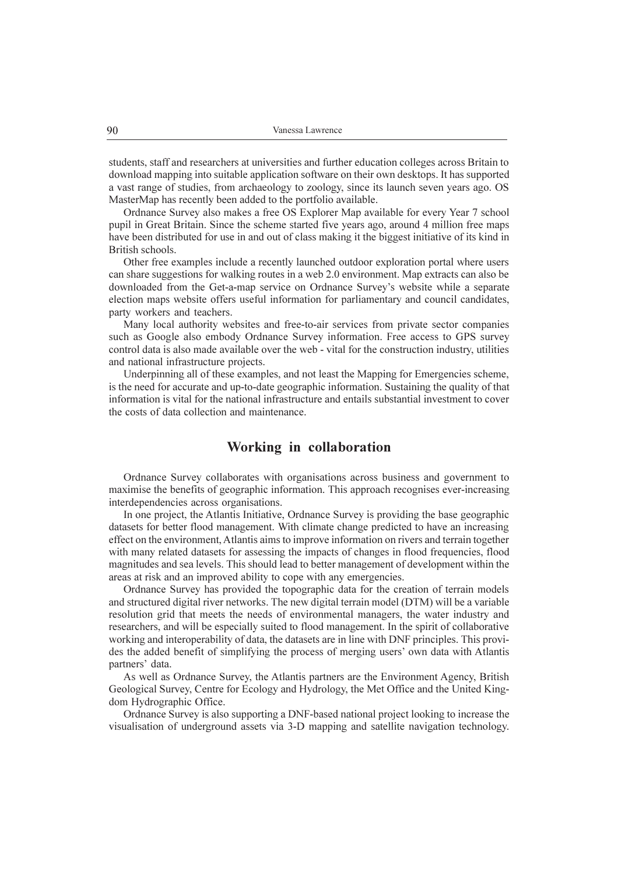students, staff and researchers at universities and further education colleges across Britain to download mapping into suitable application software on their own desktops. It has supported a vast range of studies, from archaeology to zoology, since its launch seven years ago. OS MasterMap has recently been added to the portfolio available.

Ordnance Survey also makes a free OS Explorer Map available for every Year 7 school pupil in Great Britain. Since the scheme started five years ago, around 4 million free maps have been distributed for use in and out of class making it the biggest initiative of its kind in British schools.

Other free examples include a recently launched outdoor exploration portal where users can share suggestions for walking routes in a web 2.0 environment. Map extracts can also be downloaded from the Get-a-map service on Ordnance Survey's website while a separate election maps website offers useful information for parliamentary and council candidates, party workers and teachers.

Many local authority websites and free-to-air services from private sector companies such as Google also embody Ordnance Survey information. Free access to GPS survey control data is also made available over the web - vital for the construction industry, utilities and national infrastructure projects.

Underpinning all of these examples, and not least the Mapping for Emergencies scheme, is the need for accurate and up-to-date geographic information. Sustaining the quality of that information is vital for the national infrastructure and entails substantial investment to cover the costs of data collection and maintenance.

#### Working in collaboration

Ordnance Survey collaborates with organisations across business and government to maximise the benefits of geographic information. This approach recognises ever-increasing interdependencies across organisations.

In one project, the Atlantis Initiative, Ordnance Survey is providing the base geographic datasets for better flood management. With climate change predicted to have an increasing effect on the environment, Atlantis aims to improve information on rivers and terrain together with many related datasets for assessing the impacts of changes in flood frequencies, flood magnitudes and sea levels. This should lead to better management of development within the areas at risk and an improved ability to cope with any emergencies.

Ordnance Survey has provided the topographic data for the creation of terrain models and structured digital river networks. The new digital terrain model (DTM) will be a variable resolution grid that meets the needs of environmental managers, the water industry and researchers, and will be especially suited to flood management. In the spirit of collaborative working and interoperability of data, the datasets are in line with DNF principles. This provides the added benefit of simplifying the process of merging users' own data with Atlantis partners' data.

As well as Ordnance Survey, the Atlantis partners are the Environment Agency, British Geological Survey, Centre for Ecology and Hydrology, the Met Office and the United Kingdom Hydrographic Office.

Ordnance Survey is also supporting a DNF-based national project looking to increase the visualisation of underground assets via 3-D mapping and satellite navigation technology.